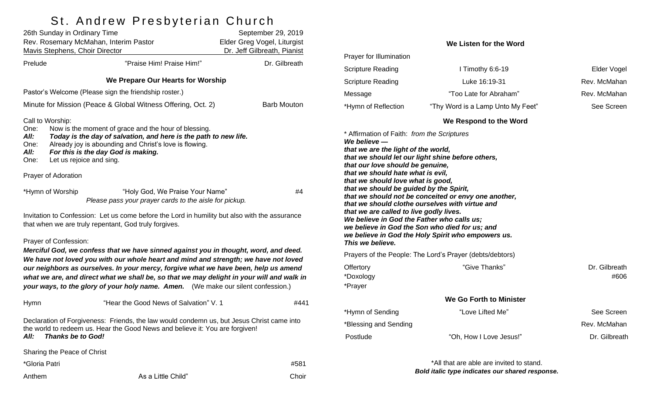# St. Andrew Presbyterian Church

| 26th Sunday in Ordinary Time                             |                                                                                                                                                                                                                                                                                                                                                                                                                                                      | September 29, 2019          |  |
|----------------------------------------------------------|------------------------------------------------------------------------------------------------------------------------------------------------------------------------------------------------------------------------------------------------------------------------------------------------------------------------------------------------------------------------------------------------------------------------------------------------------|-----------------------------|--|
|                                                          | Rev. Rosemary McMahan, Interim Pastor                                                                                                                                                                                                                                                                                                                                                                                                                | Elder Greg Vogel, Liturgist |  |
|                                                          | <b>Mavis Stephens, Choir Director</b>                                                                                                                                                                                                                                                                                                                                                                                                                | Dr. Jeff Gilbreath, Pianist |  |
| Prelude                                                  | "Praise Him! Praise Him!"                                                                                                                                                                                                                                                                                                                                                                                                                            | Dr. Gilbreath               |  |
|                                                          | We Prepare Our Hearts for Worship                                                                                                                                                                                                                                                                                                                                                                                                                    |                             |  |
|                                                          | Pastor's Welcome (Please sign the friendship roster.)                                                                                                                                                                                                                                                                                                                                                                                                |                             |  |
|                                                          | Minute for Mission (Peace & Global Witness Offering, Oct. 2)                                                                                                                                                                                                                                                                                                                                                                                         | <b>Barb Mouton</b>          |  |
| Call to Worship:<br>One:<br>All:<br>One:<br>All:<br>One: | Now is the moment of grace and the hour of blessing.<br>Today is the day of salvation, and here is the path to new life.<br>Already joy is abounding and Christ's love is flowing.<br>For this is the day God is making.<br>Let us rejoice and sing.                                                                                                                                                                                                 |                             |  |
| Prayer of Adoration                                      |                                                                                                                                                                                                                                                                                                                                                                                                                                                      |                             |  |
| *Hymn of Worship                                         | "Holy God, We Praise Your Name"<br>Please pass your prayer cards to the aisle for pickup.                                                                                                                                                                                                                                                                                                                                                            | #4                          |  |
|                                                          | Invitation to Confession: Let us come before the Lord in humility but also with the assurance<br>that when we are truly repentant, God truly forgives.                                                                                                                                                                                                                                                                                               |                             |  |
| Prayer of Confession:                                    | Merciful God, we confess that we have sinned against you in thought, word, and deed.<br>We have not loved you with our whole heart and mind and strength; we have not loved<br>our neighbors as ourselves. In your mercy, forgive what we have been, help us amend<br>what we are, and direct what we shall be, so that we may delight in your will and walk in<br>your ways, to the glory of your holy name. Amen. (We make our silent confession.) |                             |  |
| Hymn                                                     | "Hear the Good News of Salvation" V. 1                                                                                                                                                                                                                                                                                                                                                                                                               | #441                        |  |
| All:                                                     | Declaration of Forgiveness: Friends, the law would condemn us, but Jesus Christ came into<br>the world to redeem us. Hear the Good News and believe it: You are forgiven!<br><b>Thanks be to God!</b>                                                                                                                                                                                                                                                |                             |  |
|                                                          | Sharing the Peace of Christ                                                                                                                                                                                                                                                                                                                                                                                                                          |                             |  |
| *Gloria Patri                                            |                                                                                                                                                                                                                                                                                                                                                                                                                                                      | #581                        |  |
| Anthem                                                   | As a Little Child"                                                                                                                                                                                                                                                                                                                                                                                                                                   | Choir                       |  |

#### **We Listen for the Word**

| I Timothy 6:6-19                  | Elder Vogel  |
|-----------------------------------|--------------|
| Luke 16:19-31                     | Rev. McMahan |
| "Too Late for Abraham"            | Rev. McMahan |
| "Thy Word is a Lamp Unto My Feet" | See Screen   |
|                                   |              |

#### **We Respond to the Word**

\* Affirmation of Faith: *from the Scriptures We believe that we are the light of the world, that we should let our light shine before others, that our love should be genuine, that we should hate what is evil, that we should love what is good, that we should be guided by the Spirit, that we should not be conceited or envy one another, that we should clothe ourselves with virtue and that we are called to live godly lives. We believe in God the Father who calls us; we believe in God the Son who died for us; and we believe in God the Holy Spirit who empowers us. This we believe.*

Prayers of the People: The Lord's Prayer (debts/debtors)

| Offertory | "Give Thanks" | Dr. Gilbreath |
|-----------|---------------|---------------|
| *Doxology |               | #606          |
| *Prayer   |               |               |

| We Go Forth to Minister |                         |               |  |  |  |
|-------------------------|-------------------------|---------------|--|--|--|
| *Hymn of Sending        | "Love Lifted Me"        | See Screen    |  |  |  |
| *Blessing and Sending   |                         | Rev. McMahan  |  |  |  |
| Postlude                | "Oh, How I Love Jesus!" | Dr. Gilbreath |  |  |  |
|                         |                         |               |  |  |  |

\*All that are able are invited to stand. *Bold italic type indicates our shared response.*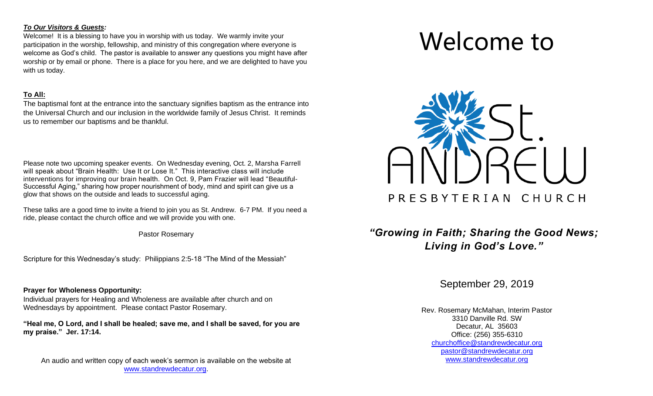#### *To Our Visitors & Guests:*

Welcome! It is a blessing to have you in worship with us today. We warmly invite your participation in the worship, fellowship, and ministry of this congregation where everyone is welcome as God's child. The pastor is available to answer any questions you might have after worship or by email or phone. There is a place for you here, and we are delighted to have you with us today.

#### **To All:**

The baptismal font at the entrance into the sanctuary signifies baptism as the entrance into the Universal Church and our inclusion in the worldwide family of Jesus Christ. It reminds us to remember our baptisms and be thankful.

Please note two upcoming speaker events. On Wednesday evening, Oct. 2, Marsha Farrell will speak about "Brain Health: Use It or Lose It." This interactive class will include interventions for improving our brain health. On Oct. 9, Pam Frazier will lead "Beautiful-Successful Aging," sharing how proper nourishment of body, mind and spirit can give us a glow that shows on the outside and leads to successful aging.

These talks are a good time to invite a friend to join you as St. Andrew. 6-7 PM. If you need a ride, please contact the church office and we will provide you with one.

Pastor Rosemary

Scripture for this Wednesday's study: Philippians 2:5-18 "The Mind of the Messiah"

#### **Prayer for Wholeness Opportunity:**

Individual prayers for Healing and Wholeness are available after church and on Wednesdays by appointment. Please contact Pastor Rosemary.

**"Heal me, O Lord, and I shall be healed; save me, and I shall be saved, for you are my praise." Jer. 17:14.**

An audio and written copy of each week's sermon is available on the website at [www.standrewdecatur.org.](http://www.standrewdecatur.org/)

# Welcome to



# *"Growing in Faith; Sharing the Good News; Living in God's Love."*

September 29, 2019

Rev. Rosemary McMahan, Interim Pastor 3310 Danville Rd. SW Decatur, AL 35603 Office: (256) 355-6310 [churchoffice@standrewdecatur.org](mailto:churchoffice@standrewdecatur.org) pastor@standrewdecatur.org [www.standrewdecatur.org](http://www.standrewdecatur.org/)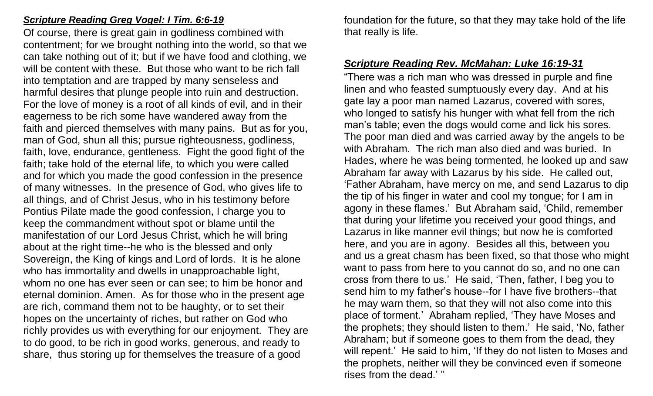#### *Scripture Reading Greg Vogel: I Tim. 6:6-19*

Of course, there is great gain in godliness combined with contentment; for we brought nothing into the world, so that we can take nothing out of it; but if we have food and clothing, we will be content with these. But those who want to be rich fall into temptation and are trapped by many senseless and harmful desires that plunge people into ruin and destruction. For the love of money is a root of all kinds of evil, and in their eagerness to be rich some have wandered away from the faith and pierced themselves with many pains. But as for you, man of God, shun all this; pursue righteousness, godliness, faith, love, endurance, gentleness. Fight the good fight of the faith; take hold of the eternal life, to which you were called and for which you made the good confession in the presence of many witnesses. In the presence of God, who gives life to all things, and of Christ Jesus, who in his testimony before Pontius Pilate made the good confession, I charge you to keep the commandment without spot or blame until the manifestation of our Lord Jesus Christ, which he will bring about at the right time--he who is the blessed and only Sovereign, the King of kings and Lord of lords. It is he alone who has immortality and dwells in unapproachable light, whom no one has ever seen or can see; to him be honor and eternal dominion. Amen. As for those who in the present age are rich, command them not to be haughty, or to set their hopes on the uncertainty of riches, but rather on God who richly provides us with everything for our enjoyment. They are to do good, to be rich in good works, generous, and ready to share, thus storing up for themselves the treasure of a good

foundation for the future, so that they may take hold of the life that really is life.

## *Scripture Reading Rev. McMahan: Luke 16:19-31*

"There was a rich man who was dressed in purple and fine linen and who feasted sumptuously every day. And at his gate lay a poor man named Lazarus, covered with sores, who longed to satisfy his hunger with what fell from the rich man's table; even the dogs would come and lick his sores. The poor man died and was carried away by the angels to be with Abraham. The rich man also died and was buried. In Hades, where he was being tormented, he looked up and saw Abraham far away with Lazarus by his side. He called out, 'Father Abraham, have mercy on me, and send Lazarus to dip the tip of his finger in water and cool my tongue; for I am in agony in these flames.' But Abraham said, 'Child, remember that during your lifetime you received your good things, and Lazarus in like manner evil things; but now he is comforted here, and you are in agony. Besides all this, between you and us a great chasm has been fixed, so that those who might want to pass from here to you cannot do so, and no one can cross from there to us.' He said, 'Then, father, I beg you to send him to my father's house--for I have five brothers--that he may warn them, so that they will not also come into this place of torment.' Abraham replied, 'They have Moses and the prophets; they should listen to them.' He said, 'No, father Abraham; but if someone goes to them from the dead, they will repent.' He said to him, 'If they do not listen to Moses and the prophets, neither will they be convinced even if someone rises from the dead.' "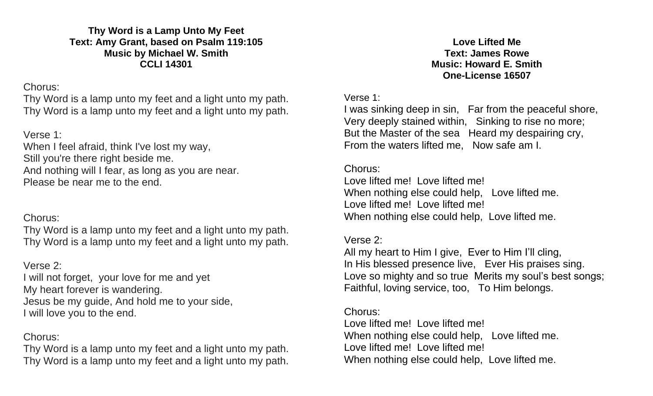**Thy Word is a Lamp Unto My Feet Text: Amy Grant, based on Psalm 119:105 Music by Michael W. Smith CCLI 14301**

#### Chorus:

Thy Word is a lamp unto my feet and a light unto my path. Thy Word is a lamp unto my feet and a light unto my path.

Verse 1:

When I feel afraid, think I've lost my way, Still you're there right beside me. And nothing will I fear, as long as you are near. Please be near me to the end.

# Chorus:

Thy Word is a lamp unto my feet and a light unto my path. Thy Word is a lamp unto my feet and a light unto my path.

## Verse 2:

I will not forget, your love for me and yet My heart forever is wandering. Jesus be my guide, And hold me to your side, I will love you to the end.

# Chorus:

Thy Word is a lamp unto my feet and a light unto my path. Thy Word is a lamp unto my feet and a light unto my path.

**Love Lifted Me Text: James Rowe Music: Howard E. Smith One-License 16507**

### Verse 1:

I was sinking deep in sin, Far from the peaceful shore, Very deeply stained within, Sinking to rise no more; But the Master of the sea Heard my despairing cry, From the waters lifted me, Now safe am I.

## Chorus:

Love lifted me! Love lifted me! When nothing else could help, Love lifted me. Love lifted me! Love lifted me! When nothing else could help, Love lifted me.

## Verse 2:

All my heart to Him I give, Ever to Him I'll cling, In His blessed presence live, Ever His praises sing. Love so mighty and so true Merits my soul's best songs; Faithful, loving service, too, To Him belongs.

## Chorus:

Love lifted me! Love lifted me! When nothing else could help, Love lifted me. Love lifted me! Love lifted me! When nothing else could help, Love lifted me.